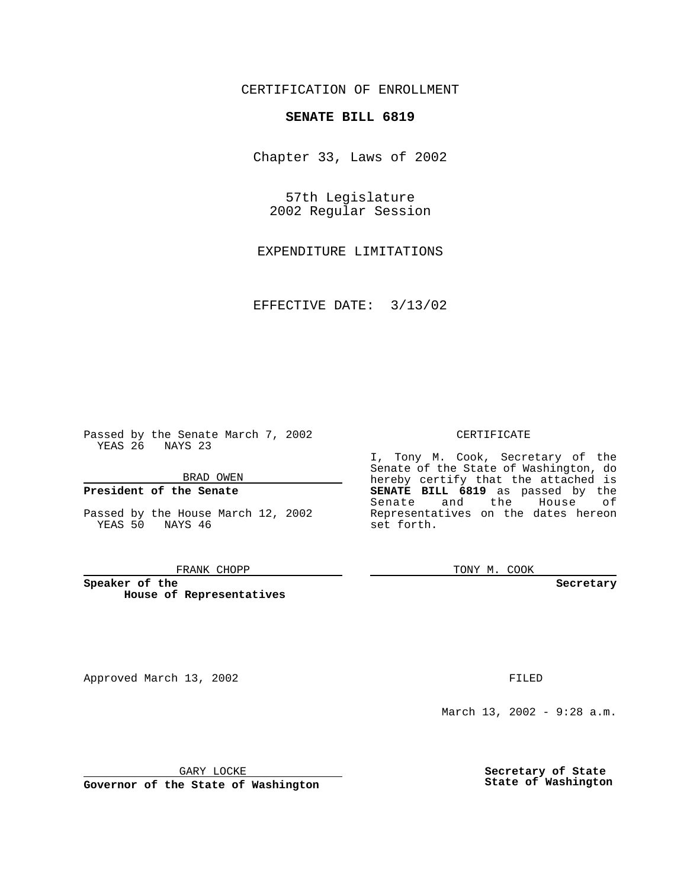CERTIFICATION OF ENROLLMENT

# **SENATE BILL 6819**

Chapter 33, Laws of 2002

57th Legislature 2002 Regular Session

EXPENDITURE LIMITATIONS

EFFECTIVE DATE: 3/13/02

Passed by the Senate March 7, 2002 YEAS 26 NAYS 23

BRAD OWEN

### **President of the Senate**

Passed by the House March 12, 2002 YEAS 50 NAYS 46

#### FRANK CHOPP

**Speaker of the House of Representatives**

Approved March 13, 2002 **FILED** 

### CERTIFICATE

I, Tony M. Cook, Secretary of the Senate of the State of Washington, do hereby certify that the attached is **SENATE BILL 6819** as passed by the Senate and the House of Representatives on the dates hereon set forth.

TONY M. COOK

**Secretary**

March 13, 2002 - 9:28 a.m.

GARY LOCKE

**Governor of the State of Washington**

**Secretary of State State of Washington**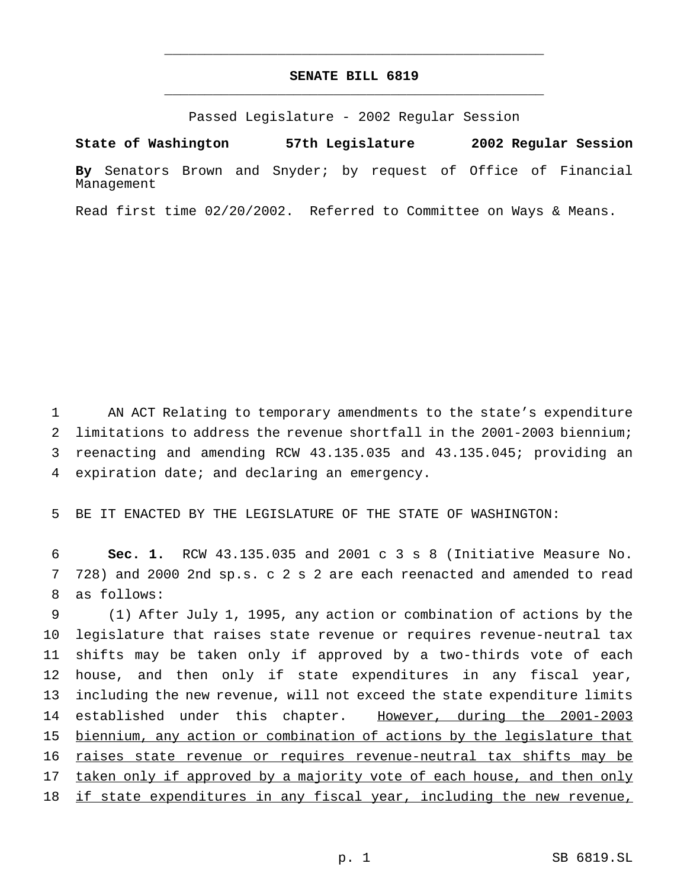## **SENATE BILL 6819** \_\_\_\_\_\_\_\_\_\_\_\_\_\_\_\_\_\_\_\_\_\_\_\_\_\_\_\_\_\_\_\_\_\_\_\_\_\_\_\_\_\_\_\_\_\_\_

\_\_\_\_\_\_\_\_\_\_\_\_\_\_\_\_\_\_\_\_\_\_\_\_\_\_\_\_\_\_\_\_\_\_\_\_\_\_\_\_\_\_\_\_\_\_\_

Passed Legislature - 2002 Regular Session

**State of Washington 57th Legislature 2002 Regular Session**

**By** Senators Brown and Snyder; by request of Office of Financial Management

Read first time 02/20/2002. Referred to Committee on Ways & Means.

 AN ACT Relating to temporary amendments to the state's expenditure limitations to address the revenue shortfall in the 2001-2003 biennium; reenacting and amending RCW 43.135.035 and 43.135.045; providing an expiration date; and declaring an emergency.

5 BE IT ENACTED BY THE LEGISLATURE OF THE STATE OF WASHINGTON:

6 **Sec. 1.** RCW 43.135.035 and 2001 c 3 s 8 (Initiative Measure No. 7 728) and 2000 2nd sp.s. c 2 s 2 are each reenacted and amended to read 8 as follows:

 (1) After July 1, 1995, any action or combination of actions by the legislature that raises state revenue or requires revenue-neutral tax shifts may be taken only if approved by a two-thirds vote of each house, and then only if state expenditures in any fiscal year, including the new revenue, will not exceed the state expenditure limits 14 established under this chapter. However, during the 2001-2003 biennium, any action or combination of actions by the legislature that raises state revenue or requires revenue-neutral tax shifts may be 17 taken only if approved by a majority vote of each house, and then only 18 if state expenditures in any fiscal year, including the new revenue,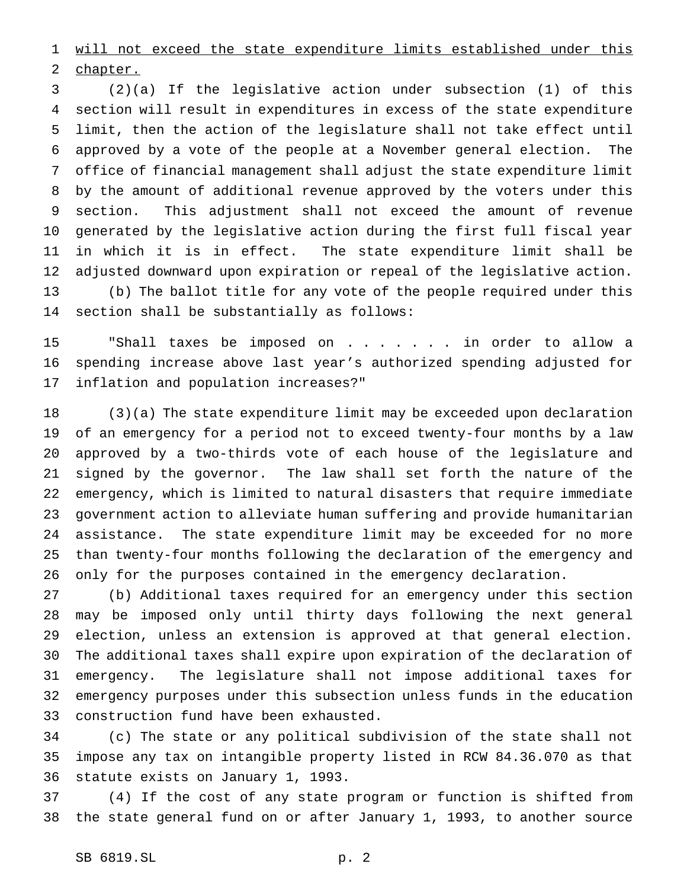will not exceed the state expenditure limits established under this chapter.

 (2)(a) If the legislative action under subsection (1) of this section will result in expenditures in excess of the state expenditure limit, then the action of the legislature shall not take effect until approved by a vote of the people at a November general election. The office of financial management shall adjust the state expenditure limit by the amount of additional revenue approved by the voters under this section. This adjustment shall not exceed the amount of revenue generated by the legislative action during the first full fiscal year in which it is in effect. The state expenditure limit shall be adjusted downward upon expiration or repeal of the legislative action. (b) The ballot title for any vote of the people required under this section shall be substantially as follows:

 "Shall taxes be imposed on . . . . . . . in order to allow a spending increase above last year's authorized spending adjusted for inflation and population increases?"

 (3)(a) The state expenditure limit may be exceeded upon declaration of an emergency for a period not to exceed twenty-four months by a law approved by a two-thirds vote of each house of the legislature and signed by the governor. The law shall set forth the nature of the emergency, which is limited to natural disasters that require immediate government action to alleviate human suffering and provide humanitarian assistance. The state expenditure limit may be exceeded for no more than twenty-four months following the declaration of the emergency and only for the purposes contained in the emergency declaration.

 (b) Additional taxes required for an emergency under this section may be imposed only until thirty days following the next general election, unless an extension is approved at that general election. The additional taxes shall expire upon expiration of the declaration of emergency. The legislature shall not impose additional taxes for emergency purposes under this subsection unless funds in the education construction fund have been exhausted.

 (c) The state or any political subdivision of the state shall not impose any tax on intangible property listed in RCW 84.36.070 as that statute exists on January 1, 1993.

 (4) If the cost of any state program or function is shifted from the state general fund on or after January 1, 1993, to another source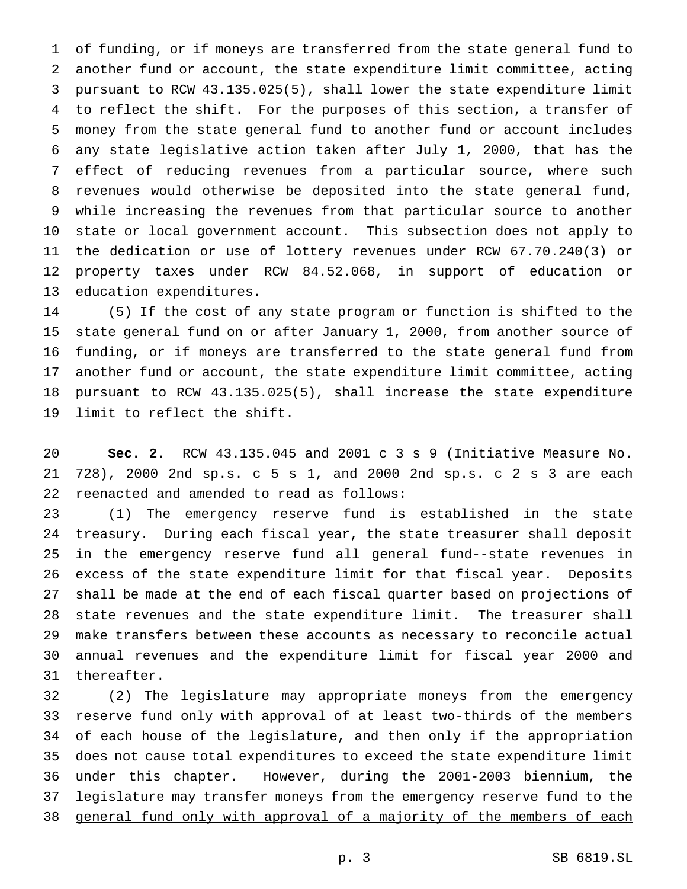of funding, or if moneys are transferred from the state general fund to another fund or account, the state expenditure limit committee, acting pursuant to RCW 43.135.025(5), shall lower the state expenditure limit to reflect the shift. For the purposes of this section, a transfer of money from the state general fund to another fund or account includes any state legislative action taken after July 1, 2000, that has the effect of reducing revenues from a particular source, where such revenues would otherwise be deposited into the state general fund, while increasing the revenues from that particular source to another state or local government account. This subsection does not apply to the dedication or use of lottery revenues under RCW 67.70.240(3) or property taxes under RCW 84.52.068, in support of education or education expenditures.

 (5) If the cost of any state program or function is shifted to the state general fund on or after January 1, 2000, from another source of funding, or if moneys are transferred to the state general fund from another fund or account, the state expenditure limit committee, acting pursuant to RCW 43.135.025(5), shall increase the state expenditure limit to reflect the shift.

 **Sec. 2.** RCW 43.135.045 and 2001 c3s9 (Initiative Measure No. 728), 2000 2nd sp.s. c 5 s 1, and 2000 2nd sp.s. c 2 s 3 are each reenacted and amended to read as follows:

 (1) The emergency reserve fund is established in the state treasury. During each fiscal year, the state treasurer shall deposit in the emergency reserve fund all general fund--state revenues in excess of the state expenditure limit for that fiscal year. Deposits shall be made at the end of each fiscal quarter based on projections of state revenues and the state expenditure limit. The treasurer shall make transfers between these accounts as necessary to reconcile actual annual revenues and the expenditure limit for fiscal year 2000 and thereafter.

 (2) The legislature may appropriate moneys from the emergency reserve fund only with approval of at least two-thirds of the members of each house of the legislature, and then only if the appropriation does not cause total expenditures to exceed the state expenditure limit under this chapter. However, during the 2001-2003 biennium, the legislature may transfer moneys from the emergency reserve fund to the 38 general fund only with approval of a majority of the members of each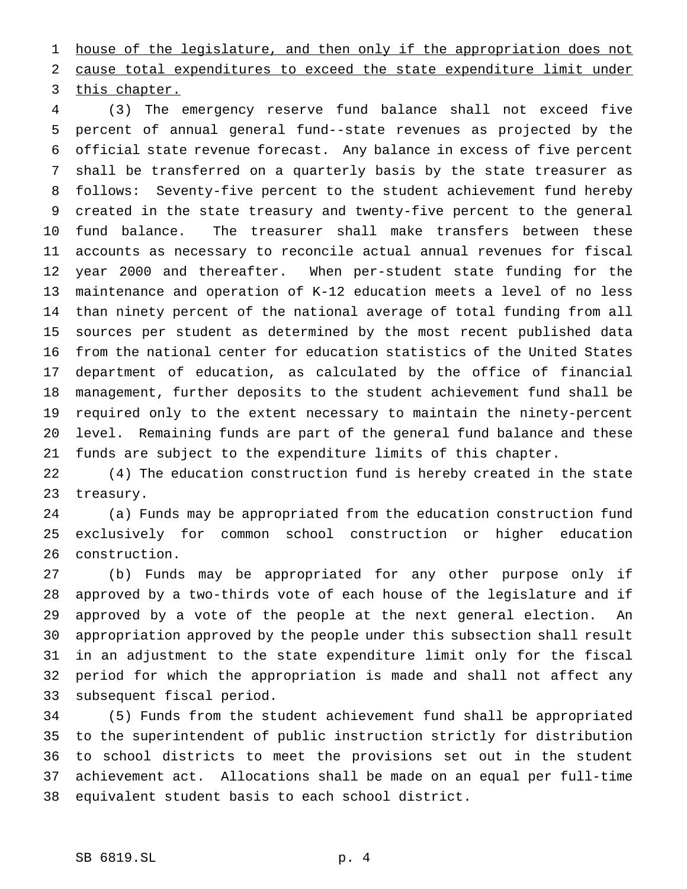1 house of the legislature, and then only if the appropriation does not cause total expenditures to exceed the state expenditure limit under this chapter.

 (3) The emergency reserve fund balance shall not exceed five percent of annual general fund--state revenues as projected by the official state revenue forecast. Any balance in excess of five percent shall be transferred on a quarterly basis by the state treasurer as follows: Seventy-five percent to the student achievement fund hereby created in the state treasury and twenty-five percent to the general fund balance. The treasurer shall make transfers between these accounts as necessary to reconcile actual annual revenues for fiscal year 2000 and thereafter. When per-student state funding for the maintenance and operation of K-12 education meets a level of no less than ninety percent of the national average of total funding from all sources per student as determined by the most recent published data from the national center for education statistics of the United States department of education, as calculated by the office of financial management, further deposits to the student achievement fund shall be required only to the extent necessary to maintain the ninety-percent level. Remaining funds are part of the general fund balance and these funds are subject to the expenditure limits of this chapter.

 (4) The education construction fund is hereby created in the state treasury.

 (a) Funds may be appropriated from the education construction fund exclusively for common school construction or higher education construction.

 (b) Funds may be appropriated for any other purpose only if approved by a two-thirds vote of each house of the legislature and if approved by a vote of the people at the next general election. An appropriation approved by the people under this subsection shall result in an adjustment to the state expenditure limit only for the fiscal period for which the appropriation is made and shall not affect any subsequent fiscal period.

 (5) Funds from the student achievement fund shall be appropriated to the superintendent of public instruction strictly for distribution to school districts to meet the provisions set out in the student achievement act. Allocations shall be made on an equal per full-time equivalent student basis to each school district.